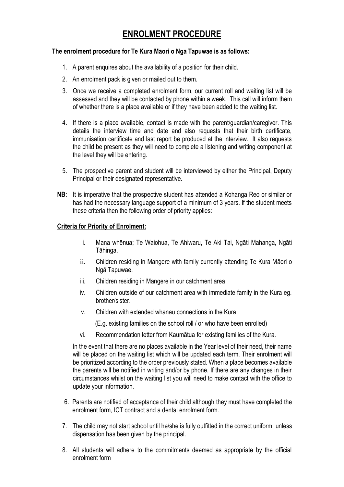# **ENROLMENT PROCEDURE**

#### **The enrolment procedure for Te Kura Māori o Ngā Tapuwae is as follows:**

- 1. A parent enquires about the availability of a position for their child.
- 2. An enrolment pack is given or mailed out to them.
- 3. Once we receive a completed enrolment form, our current roll and waiting list will be assessed and they will be contacted by phone within a week. This call will inform them of whether there is a place available or if they have been added to the waiting list.
- 4. If there is a place available, contact is made with the parent/guardian/caregiver. This details the interview time and date and also requests that their birth certificate, immunisation certificate and last report be produced at the interview. It also requests the child be present as they will need to complete a listening and writing component at the level they will be entering.
- 5. The prospective parent and student will be interviewed by either the Principal, Deputy Principal or their designated representative.
- **NB:** It is imperative that the prospective student has attended a Kohanga Reo or similar or has had the necessary language support of a minimum of 3 years. If the student meets these criteria then the following order of priority applies:

#### **Criteria for Priority of Enrolment:**

- i. Mana whēnua; Te Waiohua, Te Ahiwaru, Te Aki Tai, Ngāti Mahanga, Ngāti Tāhinga.
- ii. Children residing in Mangere with family currently attending Te Kura Māori o Ngā Tapuwae.
- iii. Children residing in Mangere in our catchment area
- iv. Children outside of our catchment area with immediate family in the Kura eg. brother/sister.
- v. Children with extended whanau connections in the Kura

(E.g. existing families on the school roll / or who have been enrolled)

vi. Recommendation letter from Kaumātua for existing families of the Kura.

In the event that there are no places available in the Year level of their need, their name will be placed on the waiting list which will be updated each term. Their enrolment will be prioritized according to the order previously stated. When a place becomes available the parents will be notified in writing and/or by phone. If there are any changes in their circumstances whilst on the waiting list you will need to make contact with the office to update your information.

- 6. Parents are notified of acceptance of their child although they must have completed the enrolment form, ICT contract and a dental enrolment form.
- 7. The child may not start school until he/she is fully outfitted in the correct uniform, unless dispensation has been given by the principal.
- 8. All students will adhere to the commitments deemed as appropriate by the official enrolment form